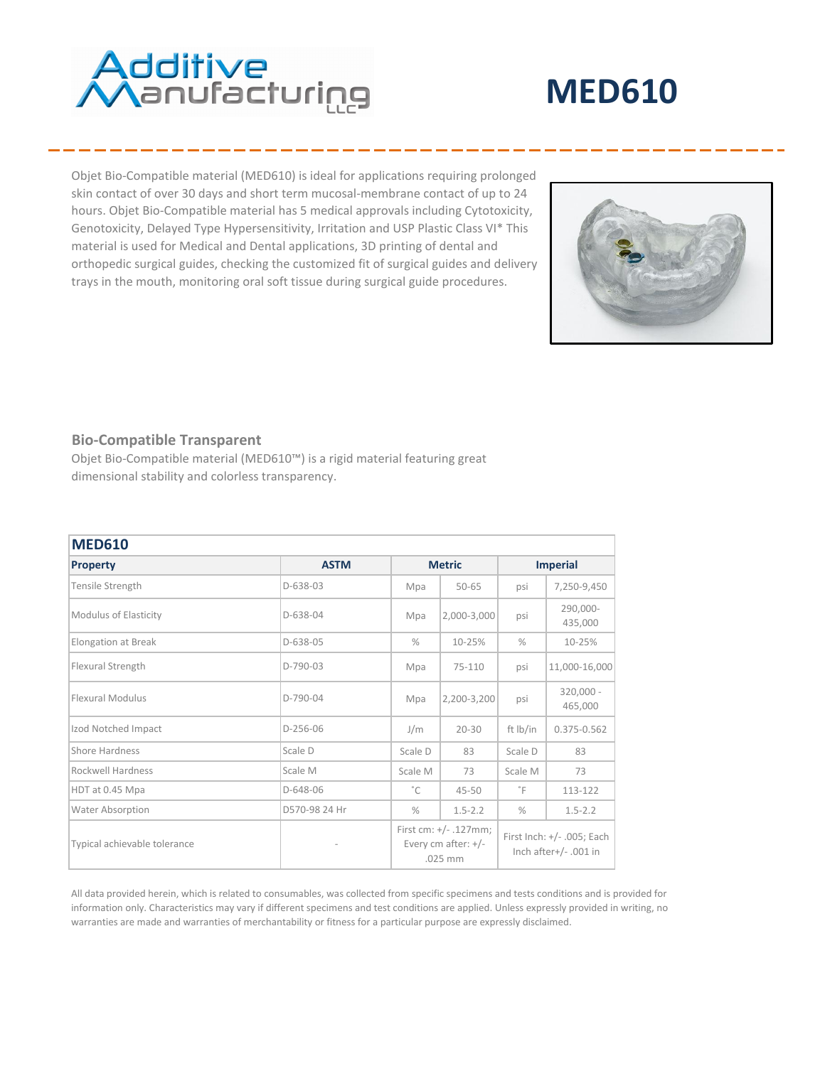

# **MED610**

Objet Bio-Compatible material (MED610) is ideal for applications requiring prolonged skin contact of over 30 days and short term mucosal-membrane contact of up to 24 hours. Objet Bio-Compatible material has 5 medical approvals including Cytotoxicity, Genotoxicity, Delayed Type Hypersensitivity, Irritation and USP Plastic Class VI\* This material is used for Medical and Dental applications, 3D printing of dental and orthopedic surgical guides, checking the customized fit of surgical guides and delivery trays in the mouth, monitoring oral soft tissue during surgical guide procedures.



## **Bio-Compatible Transparent**

Objet Bio-Compatible material (MED610™) is a rigid material featuring great dimensional stability and colorless transparency.

| <b>MED610</b>                |               |                                                                |             |                                                     |                        |
|------------------------------|---------------|----------------------------------------------------------------|-------------|-----------------------------------------------------|------------------------|
| <b>Property</b>              | <b>ASTM</b>   | <b>Metric</b>                                                  |             | <b>Imperial</b>                                     |                        |
| Tensile Strength             | $D-638-03$    | Mpa                                                            | $50 - 65$   | psi                                                 | 7,250-9,450            |
| Modulus of Elasticity        | $D-638-04$    | Mpa                                                            | 2,000-3,000 | psi                                                 | 290,000-<br>435,000    |
| Elongation at Break          | $D-638-05$    | $\%$                                                           | 10-25%      | $\frac{0}{0}$                                       | 10-25%                 |
| Flexural Strength            | $D-790-03$    | Mpa                                                            | $75 - 110$  | psi                                                 | 11,000-16,000          |
| <b>Flexural Modulus</b>      | $D-790-04$    | Mpa                                                            | 2,200-3,200 | psi                                                 | $320,000 -$<br>465,000 |
| Izod Notched Impact          | D-256-06      | J/m                                                            | $20 - 30$   | ft Ib/in                                            | 0.375-0.562            |
| Shore Hardness               | Scale D       | Scale D                                                        | 83          | Scale D                                             | 83                     |
| Rockwell Hardness            | Scale M       | Scale M                                                        | 73          | Scale M                                             | 73                     |
| HDT at 0.45 Mpa              | D-648-06      | $^{\circ}$ C                                                   | $45 - 50$   | $^{\circ}$ F                                        | 113-122                |
| Water Absorption             | D570-98 24 Hr | $\%$                                                           | $1.5 - 2.2$ | $\%$                                                | $1.5 - 2.2$            |
| Typical achievable tolerance |               | First cm: $+/- .127$ mm;<br>Every cm after: $+/-$<br>$.025$ mm |             | First Inch: +/- .005; Each<br>Inch after+/- .001 in |                        |

All data provided herein, which is related to consumables, was collected from specific specimens and tests conditions and is provided for information only. Characteristics may vary if different specimens and test conditions are applied. Unless expressly provided in writing, no warranties are made and warranties of merchantability or fitness for a particular purpose are expressly disclaimed.